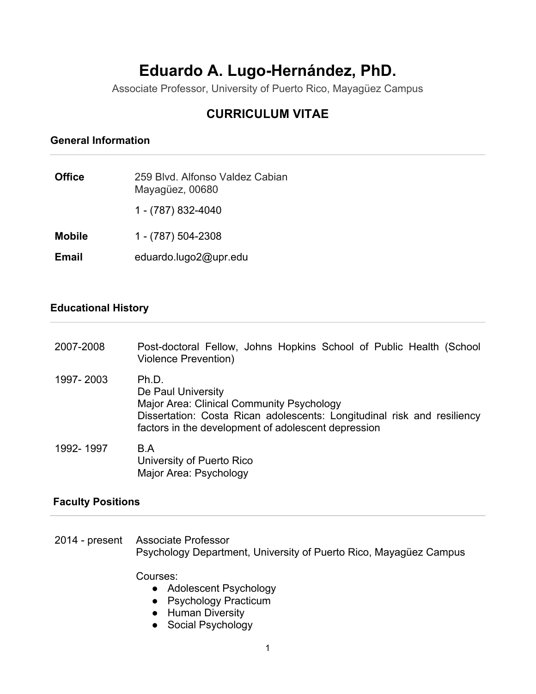# **Eduardo A. Lugo-Hernández, PhD.**

Associate Professor, University of Puerto Rico, Mayagüez Campus

# **CURRICULUM VITAE**

# **General Information**

| <b>Office</b> | 259 Blyd. Alfonso Valdez Cabian<br>Mayagüez, 00680 |
|---------------|----------------------------------------------------|
|               | 1 - (787) 832-4040                                 |
| <b>Mobile</b> | 1 - (787) 504-2308                                 |
| <b>Email</b>  | eduardo.lugo2@upr.edu                              |

### **Educational History**

| 2007-2008 | Post-doctoral Fellow, Johns Hopkins School of Public Health (School<br><b>Violence Prevention)</b>                                                                                                         |
|-----------|------------------------------------------------------------------------------------------------------------------------------------------------------------------------------------------------------------|
| 1997-2003 | Ph.D.<br>De Paul University<br>Major Area: Clinical Community Psychology<br>Dissertation: Costa Rican adolescents: Longitudinal risk and resiliency<br>factors in the development of adolescent depression |
| 1992-1997 | B.A<br>University of Puerto Rico<br>Major Area: Psychology                                                                                                                                                 |

#### **Faculty Positions**

2014 - present Associate Professor Psychology Department, University of Puerto Rico, Mayagüez Campus

Courses:

- Adolescent Psychology
- Psychology Practicum
- Human Diversity
- Social Psychology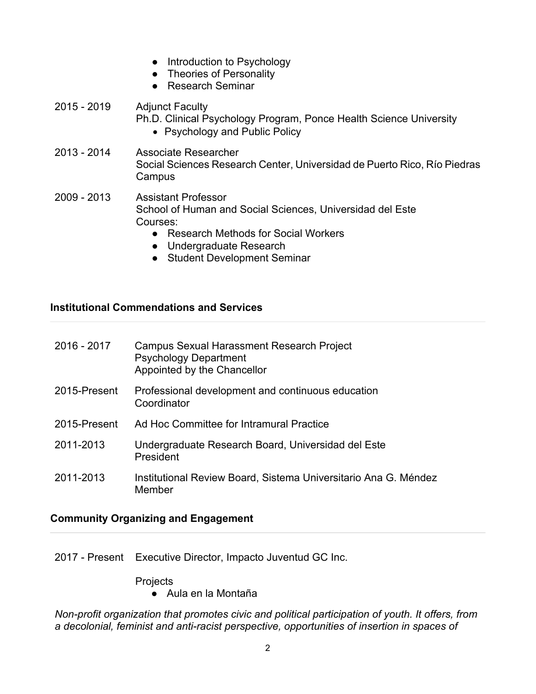- Introduction to Psychology
- Theories of Personality
- Research Seminar

# 2015 - 2019 Adjunct Faculty Ph.D. Clinical Psychology Program, Ponce Health Science University • Psychology and Public Policy

- 2013 2014 Associate Researcher Social Sciences Research Center, Universidad de Puerto Rico, Río Piedras Campus
- 2009 2013 Assistant Professor School of Human and Social Sciences, Universidad del Este Courses:
	- Research Methods for Social Workers
	- Undergraduate Research
	- Student Development Seminar

# **Institutional Commendations and Services**

| 2016 - 2017  | Campus Sexual Harassment Research Project<br><b>Psychology Department</b><br>Appointed by the Chancellor |
|--------------|----------------------------------------------------------------------------------------------------------|
| 2015-Present | Professional development and continuous education<br>Coordinator                                         |
| 2015-Present | Ad Hoc Committee for Intramural Practice                                                                 |
| 2011-2013    | Undergraduate Research Board, Universidad del Este<br>President                                          |
| 2011-2013    | Institutional Review Board, Sistema Universitario Ana G. Méndez<br>Member                                |

### **Community Organizing and Engagement**

2017 - Present Executive Director, Impacto Juventud GC Inc.

**Projects** 

● Aula en la Montaña

*Non-profit organization that promotes civic and political participation of youth. It offers, from a decolonial, feminist and anti-racist perspective, opportunities of insertion in spaces of*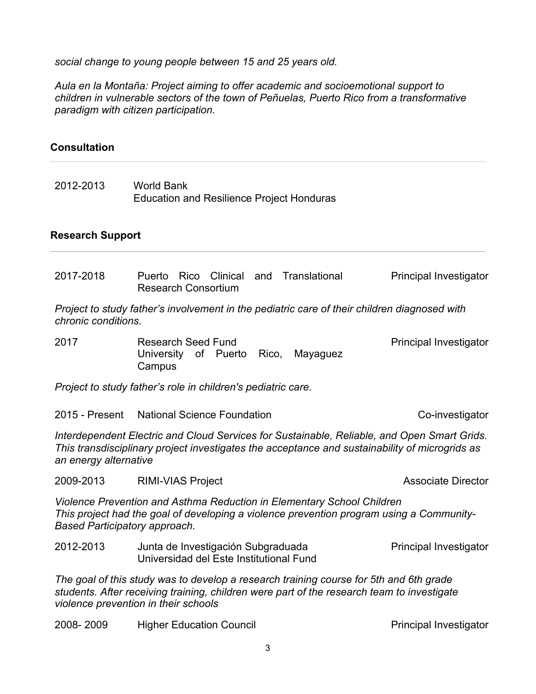*social change to young people between 15 and 25 years old.*

*Aula en la Montaña: Project aiming to offer academic and socioemotional support to children in vulnerable sectors of the town of Peñuelas, Puerto Rico from a transformative paradigm with citizen participation.*

### **Consultation**

2012-2013 World Bank Education and Resilience Project Honduras

## **Research Support**

| 2017-2018                                                                                                                                                                                                                    | Rico Clinical<br>Puerto<br><b>Research Consortium</b>                         |       | and Translational | Principal Investigator    |
|------------------------------------------------------------------------------------------------------------------------------------------------------------------------------------------------------------------------------|-------------------------------------------------------------------------------|-------|-------------------|---------------------------|
| Project to study father's involvement in the pediatric care of their children diagnosed with<br>chronic conditions.                                                                                                          |                                                                               |       |                   |                           |
| 2017                                                                                                                                                                                                                         | <b>Research Seed Fund</b><br>University of Puerto<br>Campus                   | Rico, | Mayaguez          | Principal Investigator    |
| Project to study father's role in children's pediatric care.                                                                                                                                                                 |                                                                               |       |                   |                           |
| 2015 - Present                                                                                                                                                                                                               | <b>National Science Foundation</b>                                            |       |                   | Co-investigator           |
| Interdependent Electric and Cloud Services for Sustainable, Reliable, and Open Smart Grids.<br>This transdisciplinary project investigates the acceptance and sustainability of microgrids as<br>an energy alternative       |                                                                               |       |                   |                           |
| 2009-2013                                                                                                                                                                                                                    | <b>RIMI-VIAS Project</b>                                                      |       |                   | <b>Associate Director</b> |
| Violence Prevention and Asthma Reduction in Elementary School Children<br>This project had the goal of developing a violence prevention program using a Community-<br>Based Participatory approach.                          |                                                                               |       |                   |                           |
| 2012-2013                                                                                                                                                                                                                    | Junta de Investigación Subgraduada<br>Universidad del Este Institutional Fund |       |                   | Principal Investigator    |
| The goal of this study was to develop a research training course for 5th and 6th grade<br>students. After receiving training, children were part of the research team to investigate<br>violence prevention in their schools |                                                                               |       |                   |                           |

2008- 2009 Higher Education Council **Principal Investigator** Principal Investigator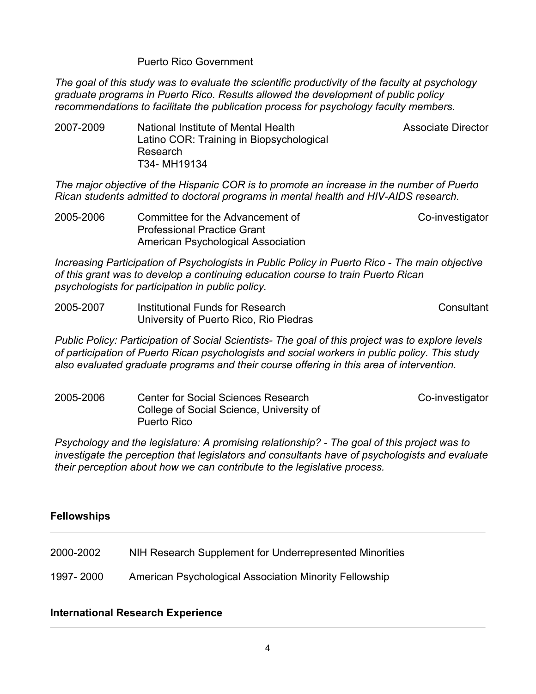#### Puerto Rico Government

*The goal of this study was to evaluate the scientific productivity of the faculty at psychology graduate programs in Puerto Rico. Results allowed the development of public policy recommendations to facilitate the publication process for psychology faculty members.*

Associate Director

2007-2009 National Institute of Mental Health Latino COR: Training in Biopsychological Research T34- MH19134

*The major objective of the Hispanic COR is to promote an increase in the number of Puerto Rican students admitted to doctoral programs in mental health and HIV-AIDS research.*

2005-2006 Committee for the Advancement of Professional Practice Grant American Psychological Association Co-investigator

*Increasing Participation of Psychologists in Public Policy in Puerto Rico - The main objective of this grant was to develop a continuing education course to train Puerto Rican psychologists for participation in public policy.* 

2005-2007 Institutional Funds for Research University of Puerto Rico, Rio Piedras **Consultant** 

*Public Policy: Participation of Social Scientists- The goal of this project was to explore levels of participation of Puerto Rican psychologists and social workers in public policy. This study also evaluated graduate programs and their course offering in this area of intervention.* 

2005-2006 Center for Social Sciences Research College of Social Science, University of Puerto Rico Co-investigator

*Psychology and the legislature: A promising relationship? - The goal of this project was to investigate the perception that legislators and consultants have of psychologists and evaluate their perception about how we can contribute to the legislative process.* 

### **Fellowships**

2000-2002 NIH Research Supplement for Underrepresented Minorities

1997- 2000 American Psychological Association Minority Fellowship

### **International Research Experience**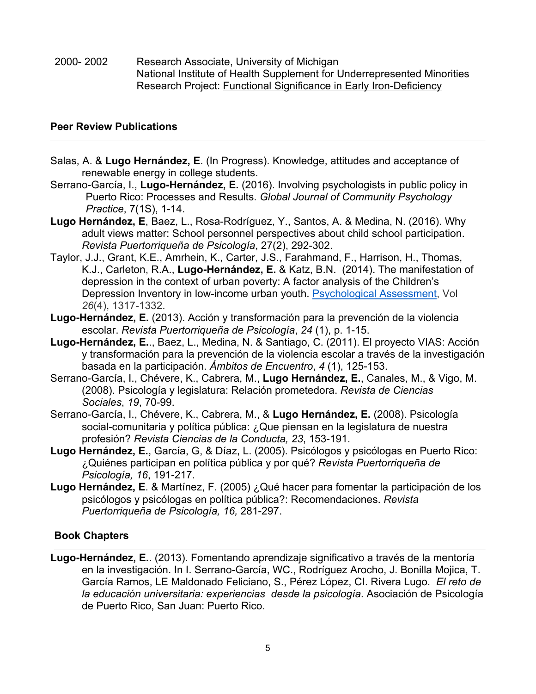2000- 2002 Research Associate, University of Michigan National Institute of Health Supplement for Underrepresented Minorities Research Project: Functional Significance in Early Iron-Deficiency

## **Peer Review Publications**

- Salas, A. & **Lugo Hernández, E**. (In Progress). Knowledge, attitudes and acceptance of renewable energy in college students.
- Serrano-García, I., **Lugo-Hernández, E.** (2016). Involving psychologists in public policy in Puerto Rico: Processes and Results. *Global Journal of Community Psychology Practice*, 7(1S), 1-14.
- **Lugo Hernández, E**, Baez, L., Rosa-Rodríguez, Y., Santos, A. & Medina, N. (2016). Why adult views matter: School personnel perspectives about child school participation. *Revista Puertorriqueña de Psicología*, 27(2), 292-302.
- Taylor, J.J., Grant, K.E., Amrhein, K., Carter, J.S., Farahmand, F., Harrison, H., Thomas, K.J., Carleton, R.A., **Lugo-Hernández, E.** & Katz, B.N. (2014). The manifestation of depression in the context of urban poverty: A factor analysis of the Children's Depression Inventory in low-income urban youth. Psychological Assessment, Vol *26*(4), 1317-1332.
- **Lugo-Hernández, E.** (2013). Acción y transformación para la prevención de la violencia escolar. *Revista Puertorriqueña de Psicología*, *24* (1), p. 1-15.
- **Lugo-Hernández, E.**., Baez, L., Medina, N. & Santiago, C. (2011). El proyecto VIAS: Acción y transformación para la prevención de la violencia escolar a través de la investigación basada en la participación. *Ámbitos de Encuentro*, *4* (1), 125-153.
- Serrano-García, I., Chévere, K., Cabrera, M., **Lugo Hernández, E.**, Canales, M., & Vigo, M. (2008). Psicología y legislatura: Relación prometedora. *Revista de Ciencias Sociales*, *19*, 70-99.
- Serrano-García, I., Chévere, K., Cabrera, M., & **Lugo Hernández, E.** (2008). Psicología social-comunitaria y política pública: ¿Que piensan en la legislatura de nuestra profesión? *Revista Ciencias de la Conducta, 23*, 153-191.
- **Lugo Hernández, E.**, García, G, & Díaz, L. (2005). Psicólogos y psicólogas en Puerto Rico: ¿Quiénes participan en política pública y por qué? *Revista Puertorriqueña de Psicología, 16*, 191-217.
- **Lugo Hernández, E**. & Martínez, F. (2005) ¿Qué hacer para fomentar la participación de los psicólogos y psicólogas en política pública?: Recomendaciones. *Revista Puertorriqueña de Psicología, 16,* 281-297.

### **Book Chapters**

**Lugo-Hernández, E.**. (2013). Fomentando aprendizaje significativo a través de la mentoría en la investigación. In I. Serrano-García, WC., Rodríguez Arocho, J. Bonilla Mojica, T. García Ramos, LE Maldonado Feliciano, S., Pérez López, CI. Rivera Lugo. *El reto de la educación universitaria: experiencias desde la psicología*. Asociación de Psicología de Puerto Rico, San Juan: Puerto Rico.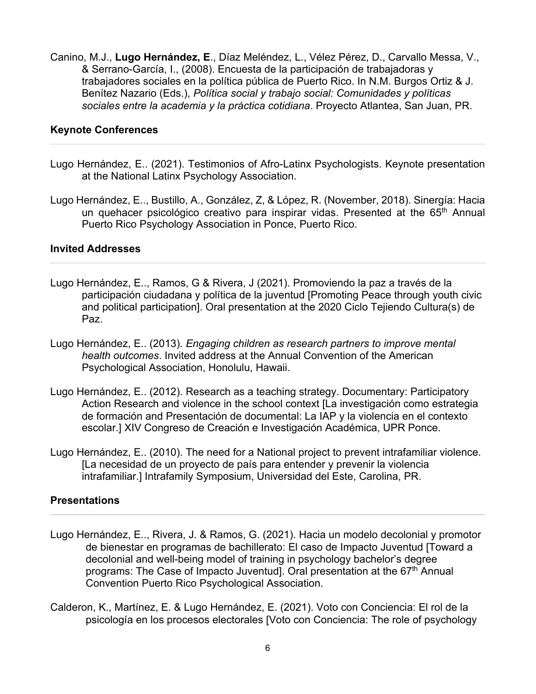Canino, M.J., **Lugo Hernández, E**., Díaz Meléndez, L., Vélez Pérez, D., Carvallo Messa, V., & Serrano-García, I., (2008). Encuesta de la participación de trabajadoras y trabajadores sociales en la política pública de Puerto Rico. In N.M. Burgos Ortiz & J. Benítez Nazario (Eds.), *Política social y trabajo social: Comunidades y políticas sociales entre la academia y la práctica cotidiana*. Proyecto Atlantea, San Juan, PR.

#### **Keynote Conferences**

- Lugo Hernández, E.. (2021). Testimonios of Afro-Latinx Psychologists. Keynote presentation at the National Latinx Psychology Association.
- Lugo Hernández, E.., Bustillo, A., González, Z, & López, R. (November, 2018). Sinergía: Hacia un quehacer psicológico creativo para inspirar vidas. Presented at the 65<sup>th</sup> Annual Puerto Rico Psychology Association in Ponce, Puerto Rico.

#### **Invited Addresses**

- Lugo Hernández, E.., Ramos, G & Rivera, J (2021). Promoviendo la paz a través de la participación ciudadana y política de la juventud [Promoting Peace through youth civic and political participation]. Oral presentation at the 2020 Ciclo Tejiendo Cultura(s) de Paz.
- Lugo Hernández, E.. (2013). *Engaging children as research partners to improve mental health outcomes*. Invited address at the Annual Convention of the American Psychological Association, Honolulu, Hawaii.
- Lugo Hernández, E.. (2012). Research as a teaching strategy. Documentary: Participatory Action Research and violence in the school context [La investigación como estrategia de formación and Presentación de documental: La IAP y la violencia en el contexto escolar.] XIV Congreso de Creación e Investigación Académica, UPR Ponce.
- Lugo Hernández, E.. (2010). The need for a National project to prevent intrafamiliar violence. [La necesidad de un proyecto de país para entender y prevenir la violencia intrafamiliar.] Intrafamily Symposium, Universidad del Este, Carolina, PR.

#### **Presentations**

- Lugo Hernández, E.., Rivera, J. & Ramos, G. (2021). Hacia un modelo decolonial y promotor de bienestar en programas de bachillerato: El caso de Impacto Juventud [Toward a decolonial and well-being model of training in psychology bachelor's degree programs: The Case of Impacto Juventud]. Oral presentation at the 67<sup>th</sup> Annual Convention Puerto Rico Psychological Association.
- Calderon, K., Martínez, E. & Lugo Hernández, E. (2021). Voto con Conciencia: El rol de la psicología en los procesos electorales [Voto con Conciencia: The role of psychology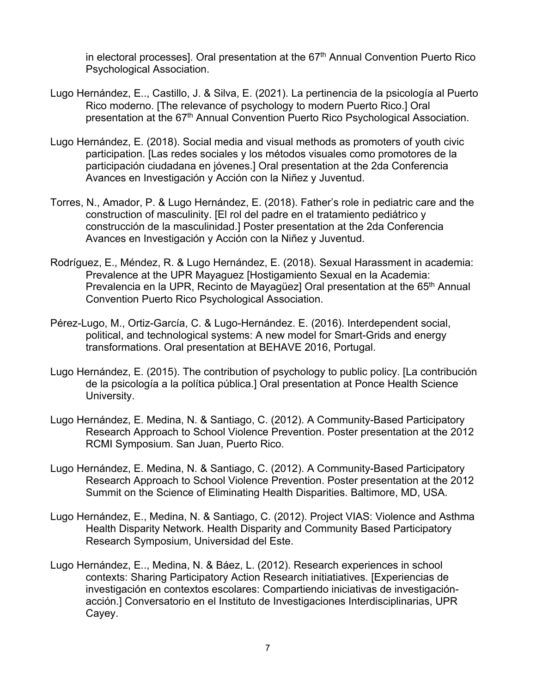in electoral processes]. Oral presentation at the  $67<sup>th</sup>$  Annual Convention Puerto Rico Psychological Association.

- Lugo Hernández, E.., Castillo, J. & Silva, E. (2021). La pertinencia de la psicología al Puerto Rico moderno. [The relevance of psychology to modern Puerto Rico.] Oral presentation at the 67<sup>th</sup> Annual Convention Puerto Rico Psychological Association.
- Lugo Hernández, E. (2018). Social media and visual methods as promoters of youth civic participation. [Las redes sociales y los métodos visuales como promotores de la participación ciudadana en jóvenes.] Oral presentation at the 2da Conferencia Avances en Investigación y Acción con la Niñez y Juventud.
- Torres, N., Amador, P. & Lugo Hernández, E. (2018). Father's role in pediatric care and the construction of masculinity. [El rol del padre en el tratamiento pediátrico y construcción de la masculinidad.] Poster presentation at the 2da Conferencia Avances en Investigación y Acción con la Niñez y Juventud.
- Rodríguez, E., Méndez, R. & Lugo Hernández, E. (2018). Sexual Harassment in academia: Prevalence at the UPR Mayaguez [Hostigamiento Sexual en la Academia: Prevalencia en la UPR, Recinto de Mayagüez] Oral presentation at the 65<sup>th</sup> Annual Convention Puerto Rico Psychological Association.
- Pérez-Lugo, M., Ortiz-García, C. & Lugo-Hernández. E. (2016). Interdependent social, political, and technological systems: A new model for Smart-Grids and energy transformations. Oral presentation at BEHAVE 2016, Portugal.
- Lugo Hernández, E. (2015). The contribution of psychology to public policy. [La contribución de la psicología a la política pública.] Oral presentation at Ponce Health Science University.
- Lugo Hernández, E. Medina, N. & Santiago, C. (2012). A Community-Based Participatory Research Approach to School Violence Prevention. Poster presentation at the 2012 RCMI Symposium. San Juan, Puerto Rico.
- Lugo Hernández, E. Medina, N. & Santiago, C. (2012). A Community-Based Participatory Research Approach to School Violence Prevention. Poster presentation at the 2012 Summit on the Science of Eliminating Health Disparities. Baltimore, MD, USA.
- Lugo Hernández, E., Medina, N. & Santiago, C. (2012). Project VIAS: Violence and Asthma Health Disparity Network. Health Disparity and Community Based Participatory Research Symposium, Universidad del Este.
- Lugo Hernández, E.., Medina, N. & Báez, L. (2012). Research experiences in school contexts: Sharing Participatory Action Research initiatiatives. [Experiencias de investigación en contextos escolares: Compartiendo iniciativas de investigaciónacción.] Conversatorio en el Instituto de Investigaciones Interdisciplinarias, UPR Cayey.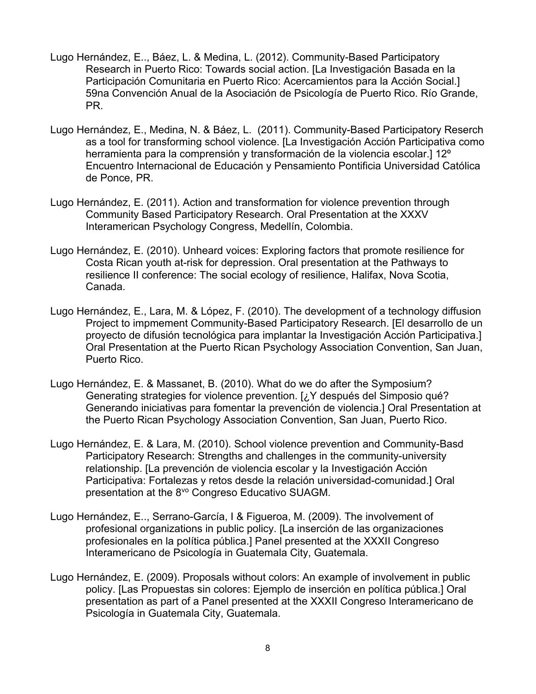- Lugo Hernández, E.., Báez, L. & Medina, L. (2012). Community-Based Participatory Research in Puerto Rico: Towards social action. [La Investigación Basada en la Participación Comunitaria en Puerto Rico: Acercamientos para la Acción Social.] 59na Convención Anual de la Asociación de Psicología de Puerto Rico. Río Grande, PR.
- Lugo Hernández, E., Medina, N. & Báez, L. (2011). Community-Based Participatory Reserch as a tool for transforming school violence. [La Investigación Acción Participativa como herramienta para la comprensión y transformación de la violencia escolar.] 12º Encuentro Internacional de Educación y Pensamiento Pontificia Universidad Católica de Ponce, PR.
- Lugo Hernández, E. (2011). Action and transformation for violence prevention through Community Based Participatory Research. Oral Presentation at the XXXV Interamerican Psychology Congress, Medellín, Colombia.
- Lugo Hernández, E. (2010). Unheard voices: Exploring factors that promote resilience for Costa Rican youth at-risk for depression. Oral presentation at the Pathways to resilience II conference: The social ecology of resilience, Halifax, Nova Scotia, Canada.
- Lugo Hernández, E., Lara, M. & López, F. (2010). The development of a technology diffusion Project to impmement Community-Based Participatory Research. [El desarrollo de un proyecto de difusión tecnológica para implantar la Investigación Acción Participativa.] Oral Presentation at the Puerto Rican Psychology Association Convention, San Juan, Puerto Rico.
- Lugo Hernández, E. & Massanet, B. (2010). What do we do after the Symposium? Generating strategies for violence prevention. [¿Y después del Simposio qué? Generando iniciativas para fomentar la prevención de violencia.] Oral Presentation at the Puerto Rican Psychology Association Convention, San Juan, Puerto Rico.
- Lugo Hernández, E. & Lara, M. (2010). School violence prevention and Community-Basd Participatory Research: Strengths and challenges in the community-university relationship. [La prevención de violencia escolar y la Investigación Acción Participativa: Fortalezas y retos desde la relación universidad-comunidad.] Oral presentation at the 8<sup>vo</sup> Congreso Educativo SUAGM.
- Lugo Hernández, E.., Serrano-García, I & Figueroa, M. (2009). The involvement of profesional organizations in public policy. [La inserción de las organizaciones profesionales en la política pública.] Panel presented at the XXXII Congreso Interamericano de Psicología in Guatemala City, Guatemala.
- Lugo Hernández, E. (2009). Proposals without colors: An example of involvement in public policy. [Las Propuestas sin colores: Ejemplo de inserción en política pública.] Oral presentation as part of a Panel presented at the XXXII Congreso Interamericano de Psicología in Guatemala City, Guatemala.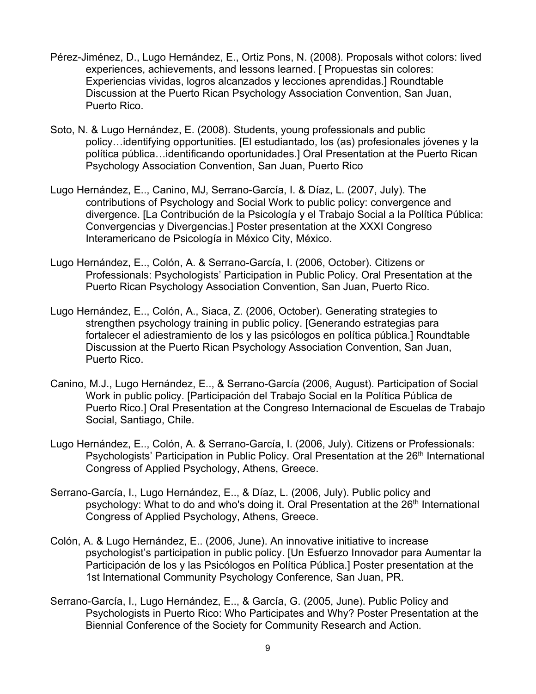- Pérez-Jiménez, D., Lugo Hernández, E., Ortiz Pons, N. (2008). Proposals withot colors: lived experiences, achievements, and lessons learned. [ Propuestas sin colores: Experiencias vividas, logros alcanzados y lecciones aprendidas.] Roundtable Discussion at the Puerto Rican Psychology Association Convention, San Juan, Puerto Rico.
- Soto, N. & Lugo Hernández, E. (2008). Students, young professionals and public policy…identifying opportunities. [El estudiantado, los (as) profesionales jóvenes y la política pública…identificando oportunidades.] Oral Presentation at the Puerto Rican Psychology Association Convention, San Juan, Puerto Rico
- Lugo Hernández, E.., Canino, MJ, Serrano-García, I. & Díaz, L. (2007, July). The contributions of Psychology and Social Work to public policy: convergence and divergence. [La Contribución de la Psicología y el Trabajo Social a la Política Pública: Convergencias y Divergencias.] Poster presentation at the XXXI Congreso Interamericano de Psicología in México City, México.
- Lugo Hernández, E.., Colón, A. & Serrano-García, I. (2006, October). Citizens or Professionals: Psychologists' Participation in Public Policy. Oral Presentation at the Puerto Rican Psychology Association Convention, San Juan, Puerto Rico.
- Lugo Hernández, E.., Colón, A., Siaca, Z. (2006, October). Generating strategies to strengthen psychology training in public policy. [Generando estrategias para fortalecer el adiestramiento de los y las psicólogos en política pública.] Roundtable Discussion at the Puerto Rican Psychology Association Convention, San Juan, Puerto Rico.
- Canino, M.J., Lugo Hernández, E.., & Serrano-García (2006, August). Participation of Social Work in public policy. [Participación del Trabajo Social en la Política Pública de Puerto Rico.] Oral Presentation at the Congreso Internacional de Escuelas de Trabajo Social, Santiago, Chile.
- Lugo Hernández, E.., Colón, A. & Serrano-García, I. (2006, July). Citizens or Professionals: Psychologists' Participation in Public Policy. Oral Presentation at the 26<sup>th</sup> International Congress of Applied Psychology, Athens, Greece.
- Serrano-García, I., Lugo Hernández, E.., & Díaz, L. (2006, July). Public policy and psychology: What to do and who's doing it. Oral Presentation at the 26<sup>th</sup> International Congress of Applied Psychology, Athens, Greece.
- Colón, A. & Lugo Hernández, E.. (2006, June). An innovative initiative to increase psychologist's participation in public policy. [Un Esfuerzo Innovador para Aumentar la Participación de los y las Psicólogos en Política Pública.] Poster presentation at the 1st International Community Psychology Conference, San Juan, PR.
- Serrano-García, I., Lugo Hernández, E.., & García, G. (2005, June). Public Policy and Psychologists in Puerto Rico: Who Participates and Why? Poster Presentation at the Biennial Conference of the Society for Community Research and Action.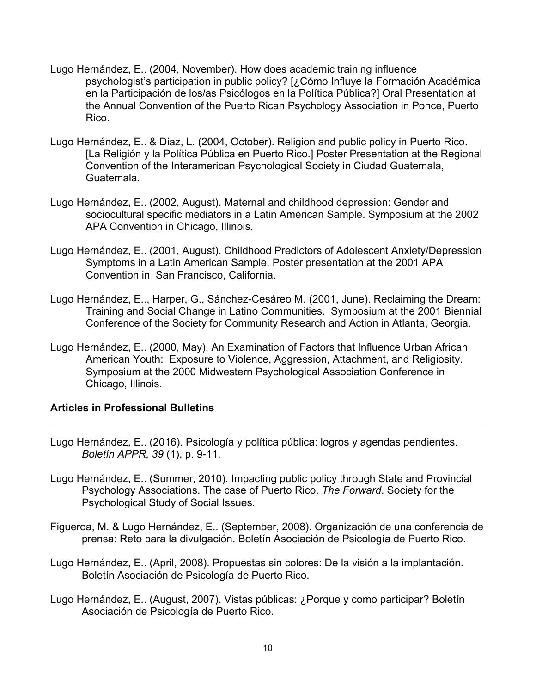- Lugo Hernández, E.. (2004, November). How does academic training influence psychologist's participation in public policy? [¿Cómo Influye la Formación Académica en la Participación de los/as Psicólogos en la Política Pública?] Oral Presentation at the Annual Convention of the Puerto Rican Psychology Association in Ponce, Puerto Rico.
- Lugo Hernández, E.. & Diaz, L. (2004, October). Religion and public policy in Puerto Rico. [La Religión y la Política Pública en Puerto Rico.] Poster Presentation at the Regional Convention of the Interamerican Psychological Society in Ciudad Guatemala, Guatemala.
- Lugo Hernández, E.. (2002, August). Maternal and childhood depression: Gender and sociocultural specific mediators in a Latin American Sample. Symposium at the 2002 APA Convention in Chicago, Illinois.
- Lugo Hernández, E.. (2001, August). Childhood Predictors of Adolescent Anxiety/Depression Symptoms in a Latin American Sample. Poster presentation at the 2001 APA Convention in San Francisco, California.
- Lugo Hernández, E.., Harper, G., Sánchez-Cesáreo M. (2001, June). Reclaiming the Dream: Training and Social Change in Latino Communities. Symposium at the 2001 Biennial Conference of the Society for Community Research and Action in Atlanta, Georgia.
- Lugo Hernández, E.. (2000, May). An Examination of Factors that Influence Urban African American Youth: Exposure to Violence, Aggression, Attachment, and Religiosity. Symposium at the 2000 Midwestern Psychological Association Conference in Chicago, Illinois.

### **Articles in Professional Bulletins**

- Lugo Hernández, E.. (2016). Psicología y política pública: logros y agendas pendientes. *Boletín APPR, 39* (1), p. 9-11.
- Lugo Hernández, E.. (Summer, 2010). Impacting public policy through State and Provincial Psychology Associations. The case of Puerto Rico. *The Forward*. Society for the Psychological Study of Social Issues.
- Figueroa, M. & Lugo Hernández, E.. (September, 2008). Organización de una conferencia de prensa: Reto para la divulgación. Boletín Asociación de Psicología de Puerto Rico.
- Lugo Hernández, E.. (April, 2008). Propuestas sin colores: De la visión a la implantación. Boletín Asociación de Psicología de Puerto Rico.
- Lugo Hernández, E.. (August, 2007). Vistas públicas: ¿Porque y como participar? Boletín Asociación de Psicología de Puerto Rico.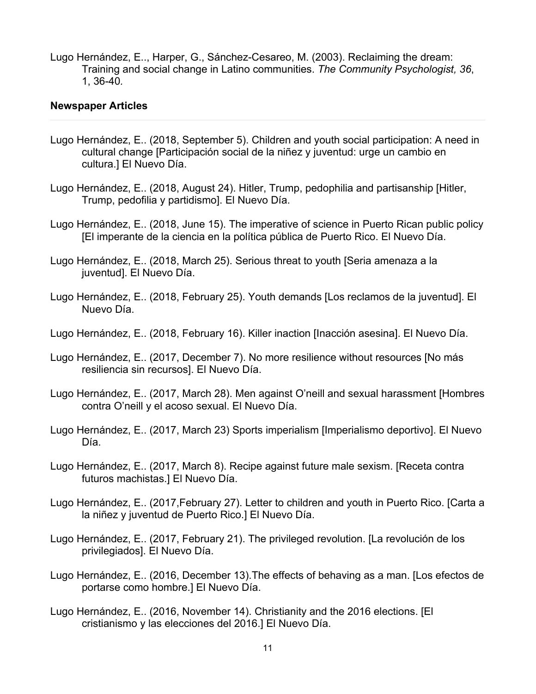Lugo Hernández, E.., Harper, G., Sánchez-Cesareo, M. (2003). Reclaiming the dream: Training and social change in Latino communities. *The Community Psychologist, 36*, 1, 36-40*.*

#### **Newspaper Articles**

- Lugo Hernández, E.. (2018, September 5). Children and youth social participation: A need in cultural change [Participación social de la niñez y juventud: urge un cambio en cultura.] El Nuevo Día.
- Lugo Hernández, E.. (2018, August 24). Hitler, Trump, pedophilia and partisanship [Hitler, Trump, pedofilia y partidismo]. El Nuevo Día.
- Lugo Hernández, E.. (2018, June 15). The imperative of science in Puerto Rican public policy [El imperante de la ciencia en la política pública de Puerto Rico. El Nuevo Día.
- Lugo Hernández, E.. (2018, March 25). Serious threat to youth [Seria amenaza a la juventud]. El Nuevo Día.
- Lugo Hernández, E.. (2018, February 25). Youth demands [Los reclamos de la juventud]. El Nuevo Día.
- Lugo Hernández, E.. (2018, February 16). Killer inaction [Inacción asesina]. El Nuevo Día.
- Lugo Hernández, E.. (2017, December 7). No more resilience without resources [No más resiliencia sin recursos]. El Nuevo Día.
- Lugo Hernández, E.. (2017, March 28). Men against O'neill and sexual harassment [Hombres contra O'neill y el acoso sexual. El Nuevo Día.
- Lugo Hernández, E.. (2017, March 23) Sports imperialism [Imperialismo deportivo]. El Nuevo Día.
- Lugo Hernández, E.. (2017, March 8). Recipe against future male sexism. [Receta contra futuros machistas.] El Nuevo Día.
- Lugo Hernández, E.. (2017,February 27). Letter to children and youth in Puerto Rico. [Carta a la niñez y juventud de Puerto Rico.] El Nuevo Día.
- Lugo Hernández, E.. (2017, February 21). The privileged revolution. [La revolución de los privilegiados]. El Nuevo Día.
- Lugo Hernández, E.. (2016, December 13).The effects of behaving as a man. [Los efectos de portarse como hombre.] El Nuevo Día.
- Lugo Hernández, E.. (2016, November 14). Christianity and the 2016 elections. [El cristianismo y las elecciones del 2016.] El Nuevo Día.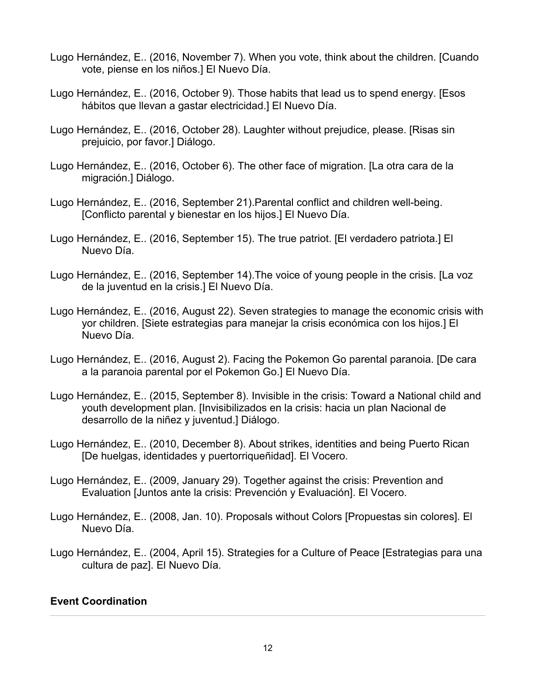- Lugo Hernández, E.. (2016, November 7). When you vote, think about the children. [Cuando vote, piense en los niños.] El Nuevo Día.
- Lugo Hernández, E.. (2016, October 9). Those habits that lead us to spend energy. [Esos hábitos que llevan a gastar electricidad.] El Nuevo Día.
- Lugo Hernández, E.. (2016, October 28). Laughter without prejudice, please. [Risas sin prejuicio, por favor.] Diálogo.
- Lugo Hernández, E.. (2016, October 6). The other face of migration. [La otra cara de la migración.] Diálogo.
- Lugo Hernández, E.. (2016, September 21).Parental conflict and children well-being. [Conflicto parental y bienestar en los hijos.] El Nuevo Día.
- Lugo Hernández, E.. (2016, September 15). The true patriot. [El verdadero patriota.] El Nuevo Día.
- Lugo Hernández, E.. (2016, September 14).The voice of young people in the crisis. [La voz de la juventud en la crisis.] El Nuevo Día.
- Lugo Hernández, E.. (2016, August 22). Seven strategies to manage the economic crisis with yor children. [Siete estrategias para manejar la crisis económica con los hijos.] El Nuevo Día.
- Lugo Hernández, E.. (2016, August 2). Facing the Pokemon Go parental paranoia. [De cara a la paranoia parental por el Pokemon Go.] El Nuevo Día.
- Lugo Hernández, E.. (2015, September 8). Invisible in the crisis: Toward a National child and youth development plan. [Invisibilizados en la crisis: hacia un plan Nacional de desarrollo de la niñez y juventud.] Diálogo.
- Lugo Hernández, E.. (2010, December 8). About strikes, identities and being Puerto Rican [De huelgas, identidades y puertorriqueñidad]. El Vocero.
- Lugo Hernández, E.. (2009, January 29). Together against the crisis: Prevention and Evaluation [Juntos ante la crisis: Prevención y Evaluación]. El Vocero.
- Lugo Hernández, E.. (2008, Jan. 10). Proposals without Colors [Propuestas sin colores]. El Nuevo Día.
- Lugo Hernández, E.. (2004, April 15). Strategies for a Culture of Peace [Estrategias para una cultura de paz]. El Nuevo Día.

### **Event Coordination**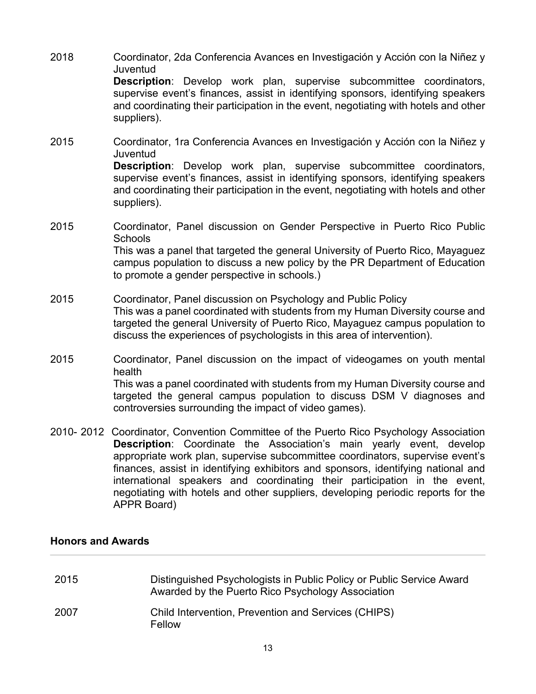- 2018 Coordinator, 2da Conferencia Avances en Investigación y Acción con la Niñez y Juventud **Description**: Develop work plan, supervise subcommittee coordinators, supervise event's finances, assist in identifying sponsors, identifying speakers and coordinating their participation in the event, negotiating with hotels and other suppliers).
- 2015 Coordinator, 1ra Conferencia Avances en Investigación y Acción con la Niñez y Juventud **Description**: Develop work plan, supervise subcommittee coordinators, supervise event's finances, assist in identifying sponsors, identifying speakers and coordinating their participation in the event, negotiating with hotels and other suppliers).
- 2015 Coordinator, Panel discussion on Gender Perspective in Puerto Rico Public **Schools** This was a panel that targeted the general University of Puerto Rico, Mayaguez campus population to discuss a new policy by the PR Department of Education to promote a gender perspective in schools.)
- 2015 Coordinator, Panel discussion on Psychology and Public Policy This was a panel coordinated with students from my Human Diversity course and targeted the general University of Puerto Rico, Mayaguez campus population to discuss the experiences of psychologists in this area of intervention).
- 2015 Coordinator, Panel discussion on the impact of videogames on youth mental health This was a panel coordinated with students from my Human Diversity course and targeted the general campus population to discuss DSM V diagnoses and controversies surrounding the impact of video games).
- 2010- 2012 Coordinator, Convention Committee of the Puerto Rico Psychology Association **Description**: Coordinate the Association's main yearly event, develop appropriate work plan, supervise subcommittee coordinators, supervise event's finances, assist in identifying exhibitors and sponsors, identifying national and international speakers and coordinating their participation in the event, negotiating with hotels and other suppliers, developing periodic reports for the APPR Board)

# **Honors and Awards**

| 2015 | Distinguished Psychologists in Public Policy or Public Service Award<br>Awarded by the Puerto Rico Psychology Association |
|------|---------------------------------------------------------------------------------------------------------------------------|
| 2007 | Child Intervention, Prevention and Services (CHIPS)<br>Fellow                                                             |